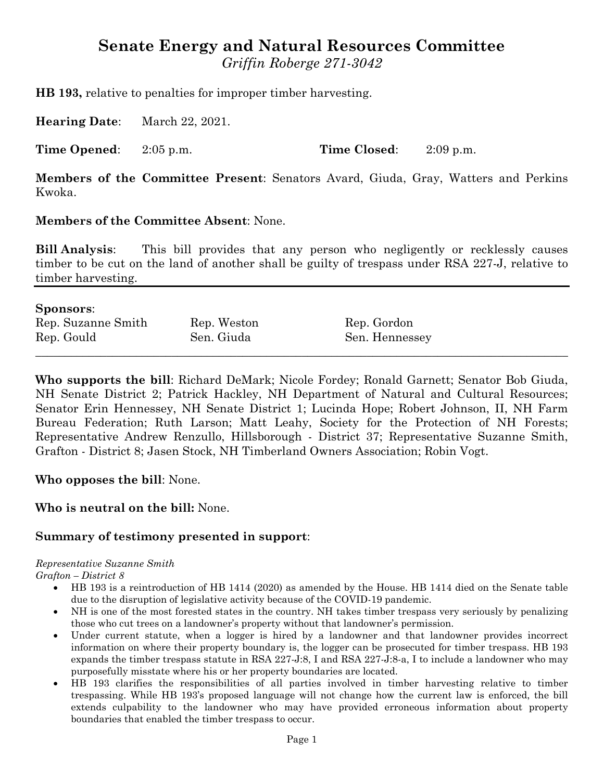# **Senate Energy and Natural Resources Committee**

*Griffin Roberge 271-3042*

**HB 193,** relative to penalties for improper timber harvesting.

**Hearing Date**: March 22, 2021.

**Time Opened**: 2:05 p.m. **Time Closed**: 2:09 p.m.

**Members of the Committee Present**: Senators Avard, Giuda, Gray, Watters and Perkins Kwoka.

# **Members of the Committee Absent**: None.

**Bill Analysis**: This bill provides that any person who negligently or recklessly causes timber to be cut on the land of another shall be guilty of trespass under RSA 227-J, relative to timber harvesting.

| <b>Sponsors:</b>   |             |                |  |
|--------------------|-------------|----------------|--|
| Rep. Suzanne Smith | Rep. Weston | Rep. Gordon    |  |
| Rep. Gould         | Sen. Giuda  | Sen. Hennessey |  |
|                    |             |                |  |

**Who supports the bill**: Richard DeMark; Nicole Fordey; Ronald Garnett; Senator Bob Giuda, NH Senate District 2; Patrick Hackley, NH Department of Natural and Cultural Resources; Senator Erin Hennessey, NH Senate District 1; Lucinda Hope; Robert Johnson, II, NH Farm Bureau Federation; Ruth Larson; Matt Leahy, Society for the Protection of NH Forests; Representative Andrew Renzullo, Hillsborough - District 37; Representative Suzanne Smith, Grafton - District 8; Jasen Stock, NH Timberland Owners Association; Robin Vogt.

#### **Who opposes the bill**: None.

# **Who is neutral on the bill:** None.

# **Summary of testimony presented in support**:

#### *Representative Suzanne Smith*

*Grafton – District 8*

- HB 193 is a reintroduction of HB 1414 (2020) as amended by the House. HB 1414 died on the Senate table due to the disruption of legislative activity because of the COVID-19 pandemic.
- NH is one of the most forested states in the country. NH takes timber trespass very seriously by penalizing those who cut trees on a landowner's property without that landowner's permission.
- Under current statute, when a logger is hired by a landowner and that landowner provides incorrect information on where their property boundary is, the logger can be prosecuted for timber trespass. HB 193 expands the timber trespass statute in RSA 227-J:8, I and RSA 227-J:8-a, I to include a landowner who may purposefully misstate where his or her property boundaries are located.
- HB 193 clarifies the responsibilities of all parties involved in timber harvesting relative to timber trespassing. While HB 193's proposed language will not change how the current law is enforced, the bill extends culpability to the landowner who may have provided erroneous information about property boundaries that enabled the timber trespass to occur.